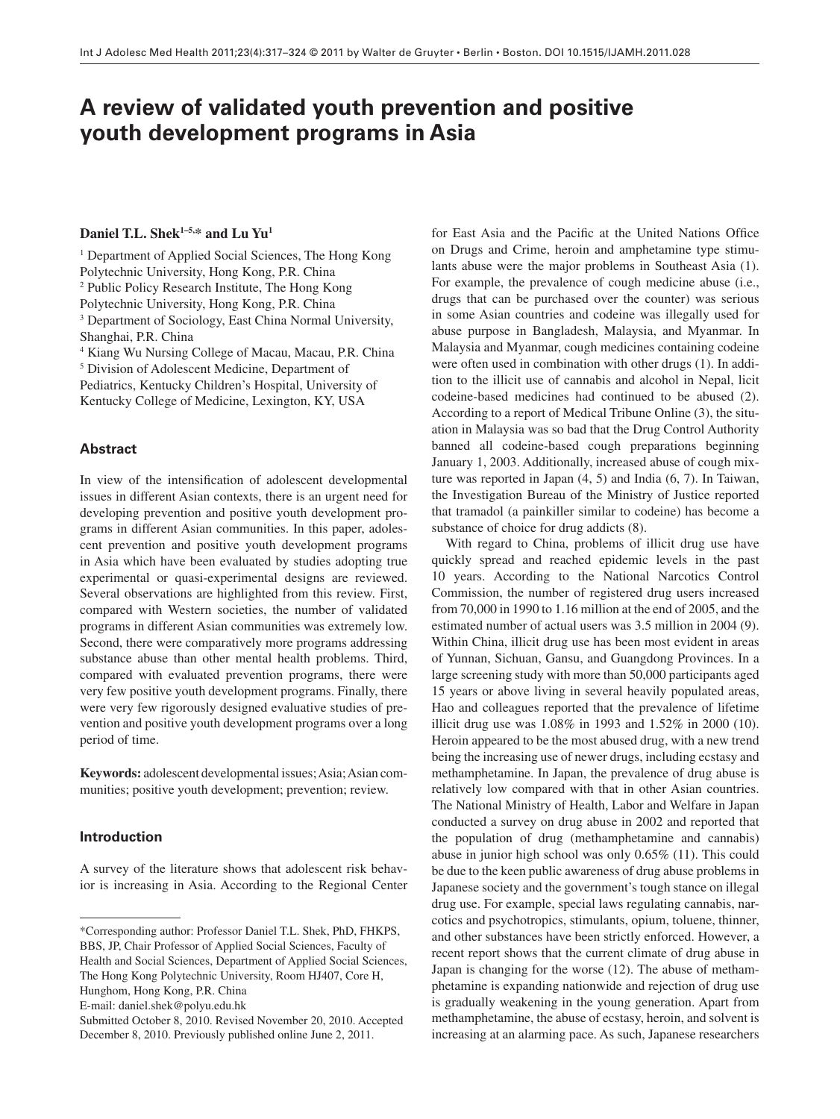# **A review of validated youth prevention and positive youth development programs in Asia**

## Daniel T.L. Shek<sup>1-5,\*</sup> and Lu Yu<sup>1</sup>

<sup>1</sup> Department of Applied Social Sciences, The Hong Kong Polytechnic University, Hong Kong, P.R. China <sup>2</sup> Public Policy Research Institute, The Hong Kong Polytechnic University, Hong Kong, P.R. China <sup>3</sup> Department of Sociology, East China Normal University, Shanghai, P.R. China

<sup>4</sup> Kiang Wu Nursing College of Macau, Macau, P.R. China <sup>5</sup> Division of Adolescent Medicine, Department of Pediatrics, Kentucky Children's Hospital, University of

Kentucky College of Medicine, Lexington, KY, USA

## **Abstract**

In view of the intensification of adolescent developmental issues in different Asian contexts, there is an urgent need for developing prevention and positive youth development programs in different Asian communities. In this paper, adolescent prevention and positive youth development programs in Asia which have been evaluated by studies adopting true experimental or quasi-experimental designs are reviewed. Several observations are highlighted from this review. First, compared with Western societies, the number of validated programs in different Asian communities was extremely low. Second, there were comparatively more programs addressing substance abuse than other mental health problems. Third, compared with evaluated prevention programs, there were very few positive youth development programs. Finally, there were very few rigorously designed evaluative studies of prevention and positive youth development programs over a long period of time.

**Keywords:** adolescent developmental issues; Asia; Asian communities; positive youth development; prevention; review.

## **Introduction**

 A survey of the literature shows that adolescent risk behavior is increasing in Asia. According to the Regional Center

E-mail: daniel.shek@polyu.edu.hk

for East Asia and the Pacific at the United Nations Office on Drugs and Crime, heroin and amphetamine type stimulants abuse were the major problems in Southeast Asia (1). For example, the prevalence of cough medicine abuse (i.e., drugs that can be purchased over the counter) was serious in some Asian countries and codeine was illegally used for abuse purpose in Bangladesh, Malaysia, and Myanmar. In Malaysia and Myanmar, cough medicines containing codeine were often used in combination with other drugs (1). In addition to the illicit use of cannabis and alcohol in Nepal, licit codeine-based medicines had continued to be abused (2). According to a report of Medical Tribune Online (3), the situation in Malaysia was so bad that the Drug Control Authority banned all codeine-based cough preparations beginning January 1, 2003. Additionally, increased abuse of cough mixture was reported in Japan (4, 5) and India (6, 7) . In Taiwan, the Investigation Bureau of the Ministry of Justice reported that tramadol (a painkiller similar to codeine) has become a substance of choice for drug addicts  $(8)$ .

 With regard to China, problems of illicit drug use have quickly spread and reached epidemic levels in the past 10 years. According to the National Narcotics Control Commission, the number of registered drug users increased from 70,000 in 1990 to 1.16 million at the end of 2005, and the estimated number of actual users was 3.5 million in 2004 (9). Within China, illicit drug use has been most evident in areas of Yunnan, Sichuan, Gansu, and Guangdong Provinces. In a large screening study with more than 50,000 participants aged 15 years or above living in several heavily populated areas, Hao and colleagues reported that the prevalence of lifetime illicit drug use was  $1.08\%$  in 1993 and  $1.52\%$  in 2000 (10). Heroin appeared to be the most abused drug, with a new trend being the increasing use of newer drugs, including ecstasy and methamphetamine. In Japan, the prevalence of drug abuse is relatively low compared with that in other Asian countries. The National Ministry of Health, Labor and Welfare in Japan conducted a survey on drug abuse in 2002 and reported that the population of drug (methamphetamine and cannabis) abuse in junior high school was only 0.65% (11). This could be due to the keen public awareness of drug abuse problems in Japanese society and the government's tough stance on illegal drug use. For example, special laws regulating cannabis, narcotics and psychotropics, stimulants, opium, toluene, thinner, and other substances have been strictly enforced. However, a recent report shows that the current climate of drug abuse in Japan is changing for the worse (12) . The abuse of methamphetamine is expanding nationwide and rejection of drug use is gradually weakening in the young generation. Apart from methamphetamine, the abuse of ecstasy, heroin, and solvent is increasing at an alarming pace. As such, Japanese researchers

 <sup>\*</sup>Corresponding author: Professor Daniel T.L. Shek, PhD, FHKPS, BBS, JP, Chair Professor of Applied Social Sciences, Faculty of Health and Social Sciences, Department of Applied Social Sciences, The Hong Kong Polytechnic University, Room HJ407, Core H,

Hunghom, Hong Kong, P.R. China

Submitted October 8, 2010. Revised November 20, 2010. Accepted December 8, 2010 . Previously published online June 2, 2011.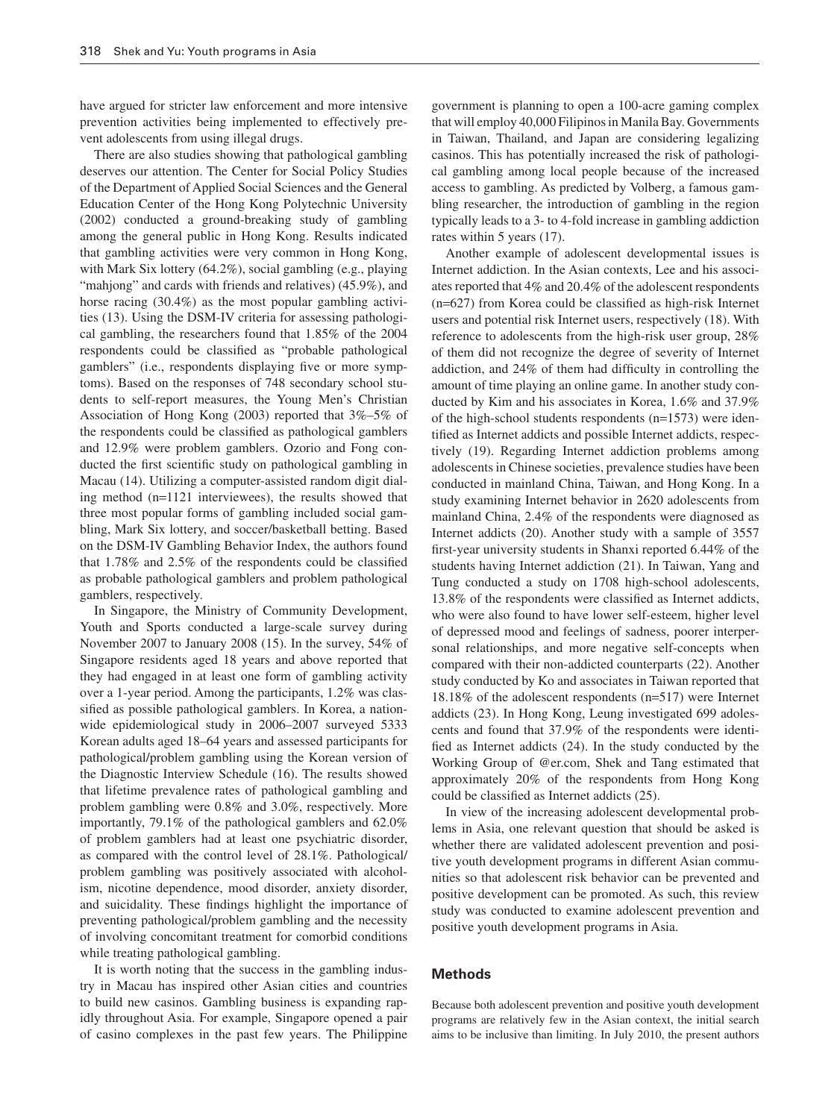have argued for stricter law enforcement and more intensive prevention activities being implemented to effectively prevent adolescents from using illegal drugs.

 There are also studies showing that pathological gambling deserves our attention. The Center for Social Policy Studies of the Department of Applied Social Sciences and the General Education Center of the Hong Kong Polytechnic University (2002) conducted a ground-breaking study of gambling among the general public in Hong Kong. Results indicated that gambling activities were very common in Hong Kong, with Mark Six lottery (64.2%), social gambling (e.g., playing " mahjong" and cards with friends and relatives) (45.9%), and horse racing  $(30.4\%)$  as the most popular gambling activities (13). Using the DSM-IV criteria for assessing pathological gambling, the researchers found that 1.85% of the 2004 respondents could be classified as "probable pathological gamblers" (i.e., respondents displaying five or more symptoms). Based on the responses of 748 secondary school students to self-report measures, the Young Men's Christian Association of Hong Kong (2003) reported that  $3\%-5\%$  of the respondents could be classified as pathological gamblers and 12.9% were problem gamblers. Ozorio and Fong conducted the first scientific study on pathological gambling in Macau (14). Utilizing a computer-assisted random digit dialing method  $(n=1121$  interviewees), the results showed that three most popular forms of gambling included social gambling, Mark Six lottery, and soccer/basketball betting. Based on the DSM-IV Gambling Behavior Index, the authors found that  $1.78\%$  and  $2.5\%$  of the respondents could be classified as probable pathological gamblers and problem pathological gamblers, respectively.

 In Singapore, the Ministry of Community Development, Youth and Sports conducted a large-scale survey during November 2007 to January 2008 (15). In the survey, 54% of Singapore residents aged 18 years and above reported that they had engaged in at least one form of gambling activity over a 1-year period. Among the participants, 1.2% was classified as possible pathological gamblers. In Korea, a nationwide epidemiological study in 2006-2007 surveyed 5333 Korean adults aged 18–64 years and assessed participants for pathological/problem gambling using the Korean version of the Diagnostic Interview Schedule (16) . The results showed that lifetime prevalence rates of pathological gambling and problem gambling were 0.8% and 3.0%, respectively. More importantly,  $79.1\%$  of the pathological gamblers and  $62.0\%$ of problem gamblers had at least one psychiatric disorder, as compared with the control level of 28.1%. Pathological/ problem gambling was positively associated with alcoholism, nicotine dependence, mood disorder, anxiety disorder, and suicidality. These findings highlight the importance of preventing pathological/problem gambling and the necessity of involving concomitant treatment for comorbid conditions while treating pathological gambling.

 It is worth noting that the success in the gambling industry in Macau has inspired other Asian cities and countries to build new casinos. Gambling business is expanding rapidly throughout Asia. For example, Singapore opened a pair of casino complexes in the past few years. The Philippine government is planning to open a 100-acre gaming complex that will employ 40,000 Filipinos in Manila Bay. Governments in Taiwan, Thailand, and Japan are considering legalizing casinos. This has potentially increased the risk of pathological gambling among local people because of the increased access to gambling. As predicted by Volberg, a famous gambling researcher, the introduction of gambling in the region typically leads to a 3- to 4-fold increase in gambling addiction rates within 5 years (17).

 Another example of adolescent developmental issues is Internet addiction. In the Asian contexts, Lee and his associates reported that 4% and 20.4% of the adolescent respondents  $(n=627)$  from Korea could be classified as high-risk Internet users and potential risk Internet users, respectively (18) . With reference to adolescents from the high-risk user group,  $28\%$ of them did not recognize the degree of severity of Internet addiction, and  $24\%$  of them had difficulty in controlling the amount of time playing an online game. In another study conducted by Kim and his associates in Korea, 1.6% and 37.9% of the high-school students respondents  $(n=1573)$  were identified as Internet addicts and possible Internet addicts, respectively (19). Regarding Internet addiction problems among adolescents in Chinese societies, prevalence studies have been conducted in mainland China, Taiwan, and Hong Kong. In a study examining Internet behavior in 2620 adolescents from mainland China, 2.4% of the respondents were diagnosed as Internet addicts (20). Another study with a sample of 3557 first-year university students in Shanxi reported 6.44% of the students having Internet addiction (21) . In Taiwan, Yang and Tung conducted a study on 1708 high-school adolescents, 13.8% of the respondents were classified as Internet addicts, who were also found to have lower self-esteem, higher level of depressed mood and feelings of sadness, poorer interpersonal relationships, and more negative self-concepts when compared with their non-addicted counterparts (22) . Another study conducted by Ko and associates in Taiwan reported that 18.18% of the adolescent respondents  $(n=517)$  were Internet addicts (23). In Hong Kong, Leung investigated 699 adolescents and found that 37.9% of the respondents were identified as Internet addicts (24). In the study conducted by the Working Group of @er.com, Shek and Tang estimated that approximately 20% of the respondents from Hong Kong could be classified as Internet addicts (25).

 In view of the increasing adolescent developmental problems in Asia, one relevant question that should be asked is whether there are validated adolescent prevention and positive youth development programs in different Asian communities so that adolescent risk behavior can be prevented and positive development can be promoted. As such, this review study was conducted to examine adolescent prevention and positive youth development programs in Asia.

## **Methods**

 Because both adolescent prevention and positive youth development programs are relatively few in the Asian context, the initial search aims to be inclusive than limiting. In July 2010, the present authors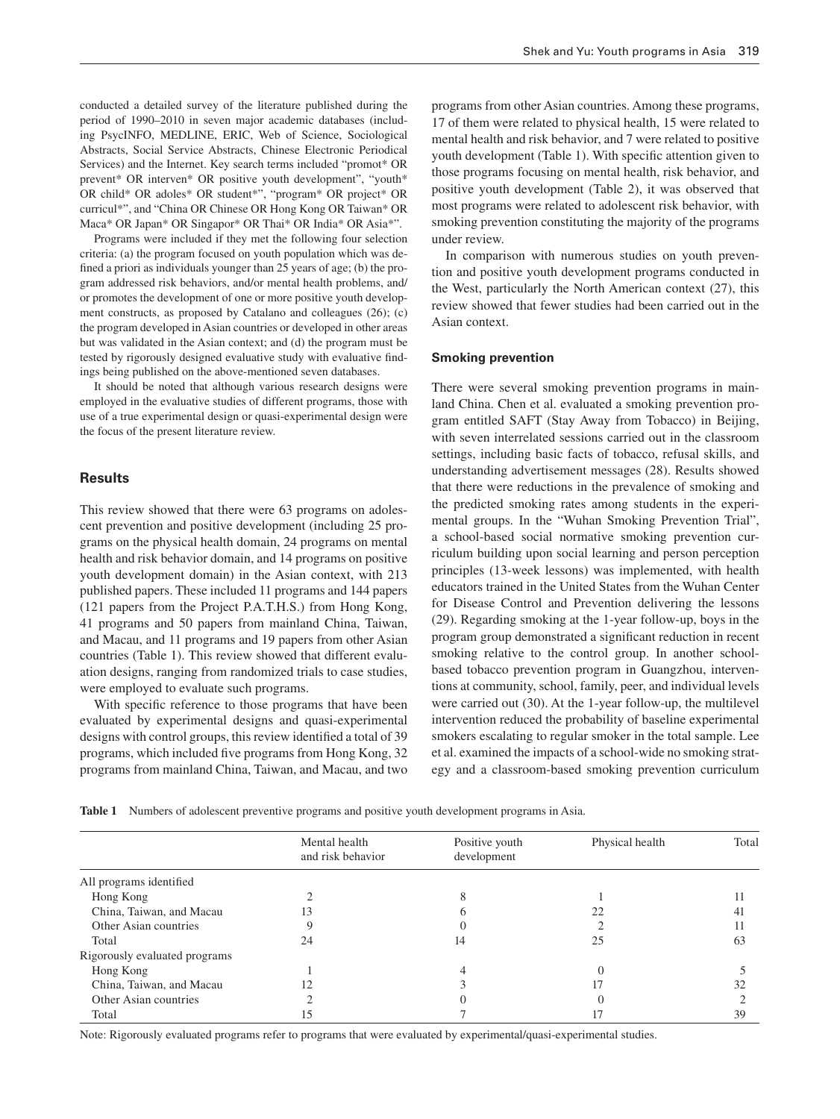conducted a detailed survey of the literature published during the period of 1990–2010 in seven major academic databases (including PsycINFO, MEDLINE, ERIC, Web of Science, Sociological Abstracts, Social Service Abstracts, Chinese Electronic Periodical Services) and the Internet. Key search terms included "promot\* OR prevent\* OR interven\* OR positive youth development", "youth\* OR child\* OR adoles\* OR student\*", "program\* OR project\* OR curricul\*", and "China OR Chinese OR Hong Kong OR Taiwan\* OR Maca\* OR Japan\* OR Singapor\* OR Thai\* OR India\* OR Asia\*".

 Programs were included if they met the following four selection criteria: (a) the program focused on youth population which was defined a priori as individuals younger than 25 years of age; (b) the program addressed risk behaviors, and/or mental health problems, and/ or promotes the development of one or more positive youth development constructs, as proposed by Catalano and colleagues  $(26)$ ;  $(c)$ the program developed in Asian countries or developed in other areas but was validated in the Asian context; and (d) the program must be tested by rigorously designed evaluative study with evaluative findings being published on the above-mentioned seven databases.

 It should be noted that although various research designs were employed in the evaluative studies of different programs, those with use of a true experimental design or quasi-experimental design were the focus of the present literature review.

## **Results**

 This review showed that there were 63 programs on adolescent prevention and positive development (including 25 programs on the physical health domain, 24 programs on mental health and risk behavior domain, and 14 programs on positive youth development domain) in the Asian context, with 213 published papers. These included 11 programs and 144 papers (121 papers from the Project P.A.T.H.S.) from Hong Kong, 41 programs and 50 papers from mainland China, Taiwan, and Macau, and 11 programs and 19 papers from other Asian countries (Table 1). This review showed that different evaluation designs, ranging from randomized trials to case studies, were employed to evaluate such programs.

With specific reference to those programs that have been evaluated by experimental designs and quasi-experimental designs with control groups, this review identified a total of 39 programs, which included five programs from Hong Kong, 32 programs from mainland China, Taiwan, and Macau, and two programs from other Asian countries. Among these programs, 17 of them were related to physical health, 15 were related to mental health and risk behavior, and 7 were related to positive youth development (Table 1). With specific attention given to those programs focusing on mental health, risk behavior, and positive youth development (Table 2), it was observed that most programs were related to adolescent risk behavior, with smoking prevention constituting the majority of the programs under review.

 In comparison with numerous studies on youth prevention and positive youth development programs conducted in the West, particularly the North American context (27), this review showed that fewer studies had been carried out in the Asian context.

#### **Smoking prevention**

 There were several smoking prevention programs in mainland China. Chen et al. evaluated a smoking prevention program entitled SAFT (Stay Away from Tobacco) in Beijing, with seven interrelated sessions carried out in the classroom settings, including basic facts of tobacco, refusal skills, and understanding advertisement messages (28) . Results showed that there were reductions in the prevalence of smoking and the predicted smoking rates among students in the experimental groups. In the "Wuhan Smoking Prevention Trial", a school-based social normative smoking prevention curriculum building upon social learning and person perception principles (13-week lessons) was implemented, with health educators trained in the United States from the Wuhan Center for Disease Control and Prevention delivering the lessons (29) . Regarding smoking at the 1-year follow-up, boys in the program group demonstrated a significant reduction in recent smoking relative to the control group. In another schoolbased tobacco prevention program in Guangzhou, interventions at community, school, family, peer, and individual levels were carried out (30) . At the 1-year follow-up, the multilevel intervention reduced the probability of baseline experimental smokers escalating to regular smoker in the total sample. Lee et al. examined the impacts of a school-wide no smoking strategy and a classroom-based smoking prevention curriculum

**Table 1** Numbers of adolescent preventive programs and positive youth development programs in Asia.

|                               | Mental health     | Positive youth | Physical health | Total |
|-------------------------------|-------------------|----------------|-----------------|-------|
|                               | and risk behavior | development    |                 |       |
| All programs identified       |                   |                |                 |       |
| Hong Kong                     |                   | Χ              |                 |       |
| China, Taiwan, and Macau      | 13                |                | 22              | 41    |
| Other Asian countries         |                   |                |                 |       |
| Total                         | 24                | 14             | 25              | 63    |
| Rigorously evaluated programs |                   |                |                 |       |
| Hong Kong                     |                   |                |                 |       |
| China, Taiwan, and Macau      | 12                |                |                 | 32    |
| Other Asian countries         |                   |                |                 |       |
| Total                         |                   |                |                 | 39    |

Note: Rigorously evaluated programs refer to programs that were evaluated by experimental/quasi-experimental studies.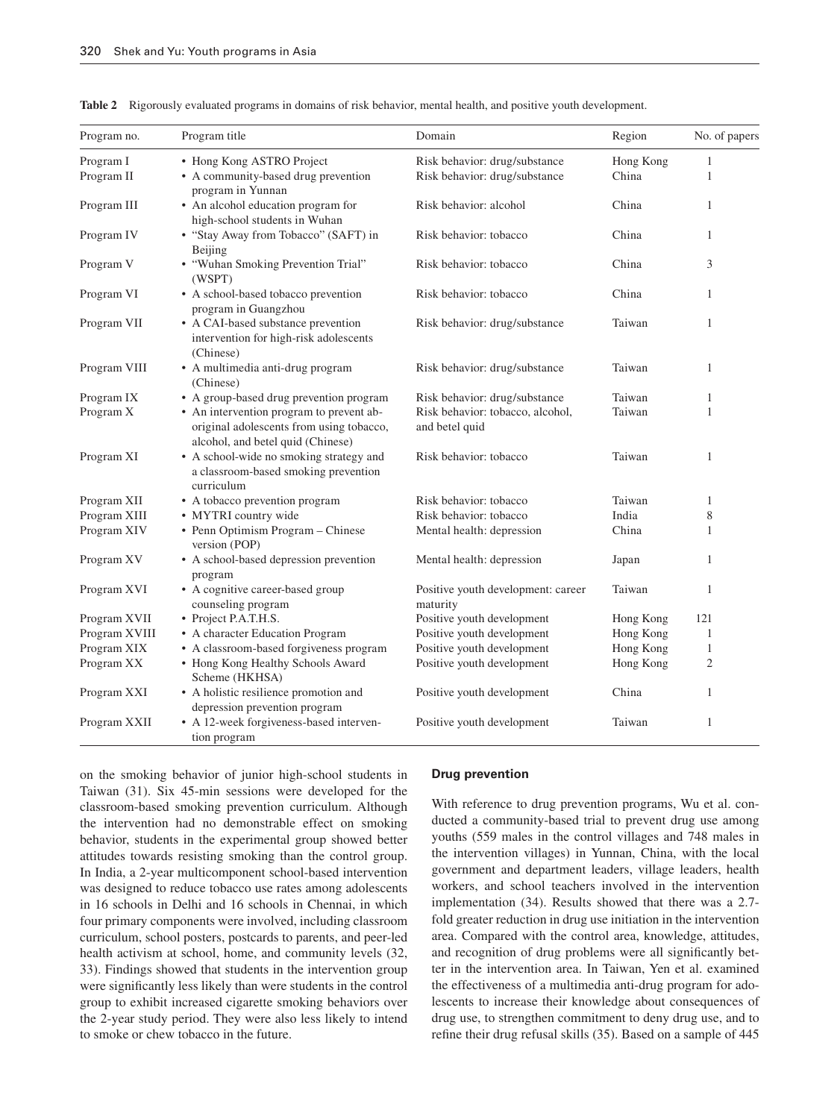| Program no.   | Program title                                                                                                             | Domain                                             | Region    | No. of papers  |
|---------------|---------------------------------------------------------------------------------------------------------------------------|----------------------------------------------------|-----------|----------------|
| Program I     | • Hong Kong ASTRO Project                                                                                                 | Risk behavior: drug/substance                      | Hong Kong | 1              |
| Program II    | • A community-based drug prevention<br>program in Yunnan                                                                  | Risk behavior: drug/substance                      | China     | 1              |
| Program III   | • An alcohol education program for<br>high-school students in Wuhan                                                       | Risk behavior: alcohol                             | China     | $\mathbf{1}$   |
| Program IV    | • "Stay Away from Tobacco" (SAFT) in<br>Beijing                                                                           | Risk behavior: tobacco                             | China     | $\mathbf{1}$   |
| Program V     | • "Wuhan Smoking Prevention Trial"<br>(WSPT)                                                                              | Risk behavior: tobacco                             | China     | 3              |
| Program VI    | • A school-based tobacco prevention<br>program in Guangzhou                                                               | Risk behavior: tobacco                             | China     | $\mathbf{1}$   |
| Program VII   | • A CAI-based substance prevention<br>intervention for high-risk adolescents<br>(Chinese)                                 | Risk behavior: drug/substance                      | Taiwan    | 1              |
| Program VIII  | • A multimedia anti-drug program<br>(Chinese)                                                                             | Risk behavior: drug/substance                      | Taiwan    | $\mathbf{1}$   |
| Program IX    | • A group-based drug prevention program                                                                                   | Risk behavior: drug/substance                      | Taiwan    | 1              |
| Program X     | • An intervention program to prevent ab-<br>original adolescents from using tobacco,<br>alcohol, and betel quid (Chinese) | Risk behavior: tobacco, alcohol,<br>and betel quid | Taiwan    | 1              |
| Program XI    | • A school-wide no smoking strategy and<br>a classroom-based smoking prevention<br>curriculum                             | Risk behavior: tobacco                             | Taiwan    | $\mathbf{1}$   |
| Program XII   | • A tobacco prevention program                                                                                            | Risk behavior: tobacco                             | Taiwan    | $\mathbf{1}$   |
| Program XIII  | • MYTRI country wide                                                                                                      | Risk behavior: tobacco                             | India     | 8              |
| Program XIV   | • Penn Optimism Program - Chinese<br>version (POP)                                                                        | Mental health: depression                          | China     | $\mathbf{1}$   |
| Program XV    | • A school-based depression prevention<br>program                                                                         | Mental health: depression                          | Japan     | $\mathbf{1}$   |
| Program XVI   | • A cognitive career-based group<br>counseling program                                                                    | Positive youth development: career<br>maturity     | Taiwan    | 1              |
| Program XVII  | • Project P.A.T.H.S.                                                                                                      | Positive youth development                         | Hong Kong | 121            |
| Program XVIII | • A character Education Program                                                                                           | Positive youth development                         | Hong Kong | $\mathbf{1}$   |
| Program XIX   | • A classroom-based forgiveness program                                                                                   | Positive youth development                         | Hong Kong | $\mathbf{1}$   |
| Program XX    | • Hong Kong Healthy Schools Award<br>Scheme (HKHSA)                                                                       | Positive youth development                         | Hong Kong | $\mathfrak{2}$ |
| Program XXI   | • A holistic resilience promotion and<br>depression prevention program                                                    | Positive youth development                         | China     | $\mathbf{1}$   |
| Program XXII  | • A 12-week forgiveness-based interven-<br>tion program                                                                   | Positive youth development                         | Taiwan    | 1              |

**Table 2** Rigorously evaluated programs in domains of risk behavior, mental health, and positive youth development.

on the smoking behavior of junior high-school students in Taiwan (31) . Six 45-min sessions were developed for the classroom-based smoking prevention curriculum. Although the intervention had no demonstrable effect on smoking behavior, students in the experimental group showed better attitudes towards resisting smoking than the control group. In India, a 2-year multicomponent school-based intervention was designed to reduce tobacco use rates among adolescents in 16 schools in Delhi and 16 schools in Chennai, in which four primary components were involved, including classroom curriculum, school posters, postcards to parents, and peer-led health activism at school, home, and community levels (32, 33) . Findings showed that students in the intervention group were significantly less likely than were students in the control group to exhibit increased cigarette smoking behaviors over the 2-year study period. They were also less likely to intend to smoke or chew tobacco in the future.

## **Drug prevention**

 With reference to drug prevention programs, Wu et al. conducted a community-based trial to prevent drug use among youths (559 males in the control villages and 748 males in the intervention villages) in Yunnan, China, with the local government and department leaders, village leaders, health workers, and school teachers involved in the intervention implementation (34) . Results showed that there was a 2.7 fold greater reduction in drug use initiation in the intervention area. Compared with the control area, knowledge, attitudes, and recognition of drug problems were all significantly better in the intervention area. In Taiwan, Yen et al. examined the effectiveness of a multimedia anti-drug program for adolescents to increase their knowledge about consequences of drug use, to strengthen commitment to deny drug use, and to refine their drug refusal skills (35). Based on a sample of 445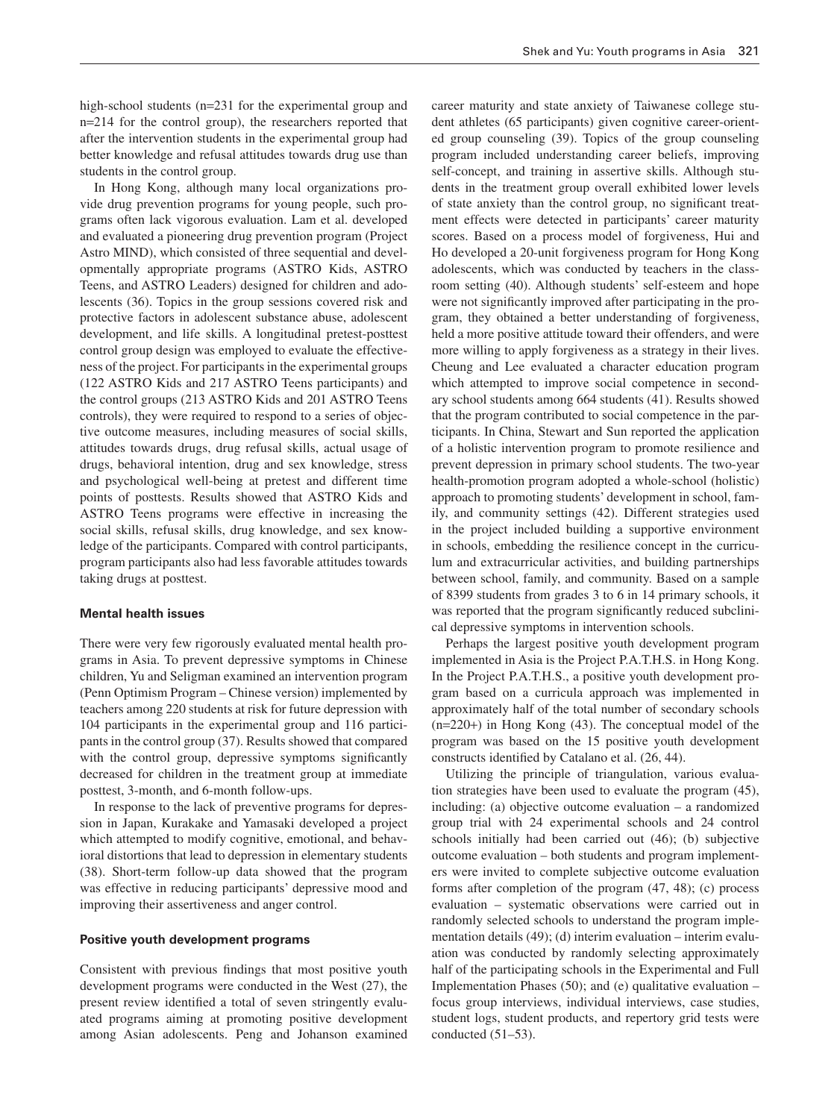high-school students ( $n=231$  for the experimental group and  $n=214$  for the control group), the researchers reported that after the intervention students in the experimental group had better knowledge and refusal attitudes towards drug use than students in the control group.

 In Hong Kong, although many local organizations provide drug prevention programs for young people, such programs often lack vigorous evaluation. Lam et al. developed and evaluated a pioneering drug prevention program (Project Astro MIND), which consisted of three sequential and developmentally appropriate programs (ASTRO Kids, ASTRO Teens, and ASTRO Leaders) designed for children and adolescents (36). Topics in the group sessions covered risk and protective factors in adolescent substance abuse, adolescent development, and life skills. A longitudinal pretest-posttest control group design was employed to evaluate the effectiveness of the project. For participants in the experimental groups (122 ASTRO Kids and 217 ASTRO Teens participants) and the control groups (213 ASTRO Kids and 201 ASTRO Teens controls), they were required to respond to a series of objective outcome measures, including measures of social skills, attitudes towards drugs, drug refusal skills, actual usage of drugs, behavioral intention, drug and sex knowledge, stress and psychological well-being at pretest and different time points of posttests. Results showed that ASTRO Kids and ASTRO Teens programs were effective in increasing the social skills, refusal skills, drug knowledge, and sex knowledge of the participants. Compared with control participants, program participants also had less favorable attitudes towards taking drugs at posttest.

#### **Mental health issues**

 There were very few rigorously evaluated mental health programs in Asia. To prevent depressive symptoms in Chinese children, Yu and Seligman examined an intervention program (Penn Optimism Program – Chinese version) implemented by teachers among 220 students at risk for future depression with 104 participants in the experimental group and 116 participants in the control group (37) . Results showed that compared with the control group, depressive symptoms significantly decreased for children in the treatment group at immediate posttest, 3-month, and 6-month follow-ups.

 In response to the lack of preventive programs for depression in Japan, Kurakake and Yamasaki developed a project which attempted to modify cognitive, emotional, and behavioral distortions that lead to depression in elementary students (38) . Short-term follow-up data showed that the program was effective in reducing participants' depressive mood and improving their assertiveness and anger control.

#### **Positive youth development programs**

Consistent with previous findings that most positive youth development programs were conducted in the West (27), the present review identified a total of seven stringently evaluated programs aiming at promoting positive development among Asian adolescents. Peng and Johanson examined career maturity and state anxiety of Taiwanese college student athletes (65 participants) given cognitive career-oriented group counseling (39). Topics of the group counseling program included understanding career beliefs, improving self-concept, and training in assertive skills. Although students in the treatment group overall exhibited lower levels of state anxiety than the control group, no significant treatment effects were detected in participants' career maturity scores. Based on a process model of forgiveness, Hui and Ho developed a 20-unit forgiveness program for Hong Kong adolescents, which was conducted by teachers in the classroom setting (40). Although students' self-esteem and hope were not significantly improved after participating in the program, they obtained a better understanding of forgiveness, held a more positive attitude toward their offenders, and were more willing to apply forgiveness as a strategy in their lives. Cheung and Lee evaluated a character education program which attempted to improve social competence in secondary school students among 664 students (41) . Results showed that the program contributed to social competence in the participants. In China, Stewart and Sun reported the application of a holistic intervention program to promote resilience and prevent depression in primary school students. The two-year health-promotion program adopted a whole-school (holistic) approach to promoting students' development in school, family, and community settings (42) . Different strategies used in the project included building a supportive environment in schools, embedding the resilience concept in the curriculum and extracurricular activities, and building partnerships between school, family, and community. Based on a sample of 8399 students from grades 3 to 6 in 14 primary schools, it was reported that the program significantly reduced subclinical depressive symptoms in intervention schools.

 Perhaps the largest positive youth development program implemented in Asia is the Project P.A.T.H.S. in Hong Kong. In the Project P.A.T.H.S., a positive youth development program based on a curricula approach was implemented in approximately half of the total number of secondary schools  $(n=220+)$  in Hong Kong (43). The conceptual model of the program was based on the 15 positive youth development constructs identified by Catalano et al.  $(26, 44)$ .

 Utilizing the principle of triangulation, various evaluation strategies have been used to evaluate the program  $(45)$ , including: (a) objective outcome evaluation – a randomized group trial with 24 experimental schools and 24 control schools initially had been carried out  $(46)$ ; (b) subjective outcome evaluation – both students and program implementers were invited to complete subjective outcome evaluation forms after completion of the program  $(47, 48)$ ; (c) process evaluation – systematic observations were carried out in randomly selected schools to understand the program implementation details  $(49)$ ;  $(d)$  interim evaluation – interim evaluation was conducted by randomly selecting approximately half of the participating schools in the Experimental and Full Implementation Phases  $(50)$ ; and  $(e)$  qualitative evaluation – focus group interviews, individual interviews, case studies, student logs, student products, and repertory grid tests were conducted  $(51-53)$ .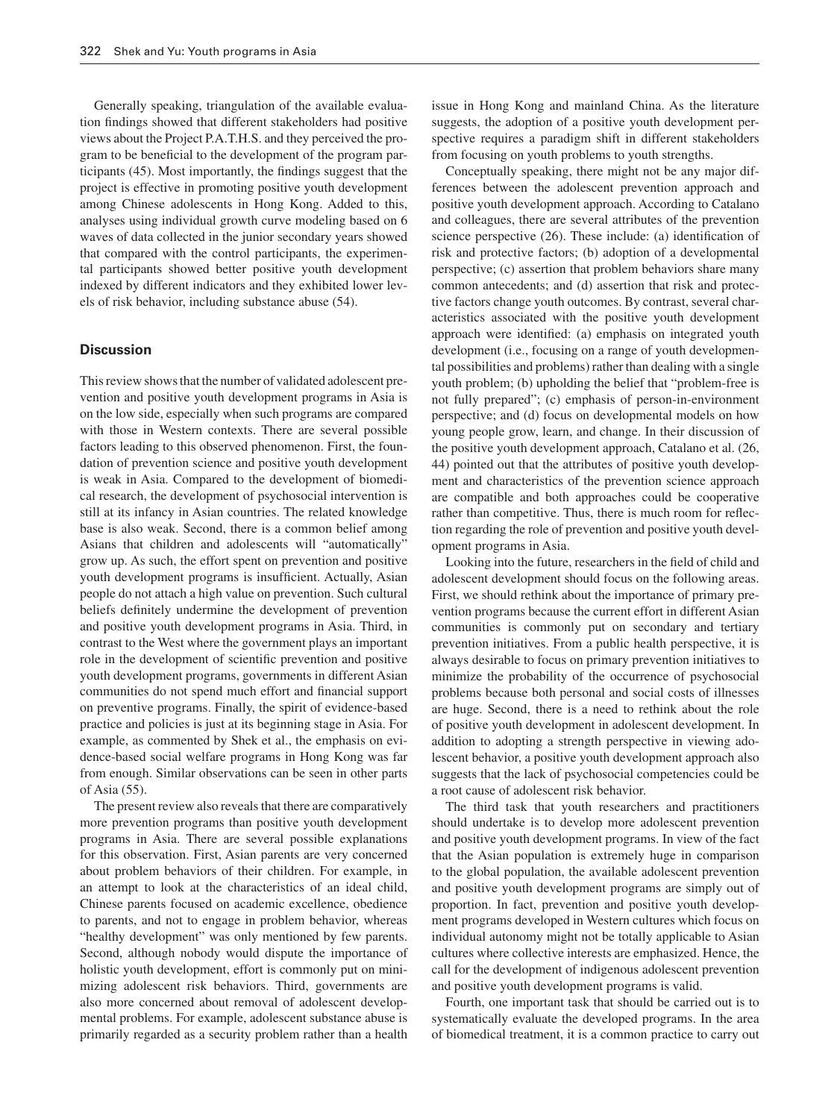Generally speaking, triangulation of the available evaluation findings showed that different stakeholders had positive views about the Project P.A.T.H.S. and they perceived the program to be beneficial to the development of the program participants (45). Most importantly, the findings suggest that the project is effective in promoting positive youth development among Chinese adolescents in Hong Kong. Added to this, analyses using individual growth curve modeling based on 6 waves of data collected in the junior secondary years showed that compared with the control participants, the experimental participants showed better positive youth development indexed by different indicators and they exhibited lower levels of risk behavior, including substance abuse (54) .

# **Discussion**

 This review shows that the number of validated adolescent prevention and positive youth development programs in Asia is on the low side, especially when such programs are compared with those in Western contexts. There are several possible factors leading to this observed phenomenon. First, the foundation of prevention science and positive youth development is weak in Asia. Compared to the development of biomedical research, the development of psychosocial intervention is still at its infancy in Asian countries. The related knowledge base is also weak. Second, there is a common belief among Asians that children and adolescents will "automatically" grow up. As such, the effort spent on prevention and positive youth development programs is insufficient. Actually, Asian people do not attach a high value on prevention. Such cultural beliefs definitely undermine the development of prevention and positive youth development programs in Asia. Third, in contrast to the West where the government plays an important role in the development of scientific prevention and positive youth development programs, governments in different Asian communities do not spend much effort and financial support on preventive programs. Finally, the spirit of evidence-based practice and policies is just at its beginning stage in Asia. For example, as commented by Shek et al., the emphasis on evidence-based social welfare programs in Hong Kong was far from enough. Similar observations can be seen in other parts of Asia (55) .

 The present review also reveals that there are comparatively more prevention programs than positive youth development programs in Asia. There are several possible explanations for this observation. First, Asian parents are very concerned about problem behaviors of their children. For example, in an attempt to look at the characteristics of an ideal child, Chinese parents focused on academic excellence, obedience to parents, and not to engage in problem behavior, whereas "healthy development" was only mentioned by few parents. Second, although nobody would dispute the importance of holistic youth development, effort is commonly put on minimizing adolescent risk behaviors. Third, governments are also more concerned about removal of adolescent developmental problems. For example, adolescent substance abuse is primarily regarded as a security problem rather than a health

issue in Hong Kong and mainland China. As the literature suggests, the adoption of a positive youth development perspective requires a paradigm shift in different stakeholders from focusing on youth problems to youth strengths.

 Conceptually speaking, there might not be any major differences between the adolescent prevention approach and positive youth development approach. According to Catalano and colleagues, there are several attributes of the prevention science perspective  $(26)$ . These include: (a) identification of risk and protective factors; (b) adoption of a developmental perspective; (c) assertion that problem behaviors share many common antecedents; and (d) assertion that risk and protective factors change youth outcomes. By contrast, several characteristics associated with the positive youth development approach were identified: (a) emphasis on integrated youth development (i.e., focusing on a range of youth developmental possibilities and problems) rather than dealing with a single youth problem; (b) upholding the belief that "problem-free is not fully prepared"; (c) emphasis of person-in-environment perspective; and (d) focus on developmental models on how young people grow, learn, and change. In their discussion of the positive youth development approach, Catalano et al. (26, 44) pointed out that the attributes of positive youth development and characteristics of the prevention science approach are compatible and both approaches could be cooperative rather than competitive. Thus, there is much room for reflection regarding the role of prevention and positive youth development programs in Asia.

Looking into the future, researchers in the field of child and adolescent development should focus on the following areas. First, we should rethink about the importance of primary prevention programs because the current effort in different Asian communities is commonly put on secondary and tertiary prevention initiatives. From a public health perspective, it is always desirable to focus on primary prevention initiatives to minimize the probability of the occurrence of psychosocial problems because both personal and social costs of illnesses are huge. Second, there is a need to rethink about the role of positive youth development in adolescent development. In addition to adopting a strength perspective in viewing adolescent behavior, a positive youth development approach also suggests that the lack of psychosocial competencies could be a root cause of adolescent risk behavior.

 The third task that youth researchers and practitioners should undertake is to develop more adolescent prevention and positive youth development programs. In view of the fact that the Asian population is extremely huge in comparison to the global population, the available adolescent prevention and positive youth development programs are simply out of proportion. In fact, prevention and positive youth development programs developed in Western cultures which focus on individual autonomy might not be totally applicable to Asian cultures where collective interests are emphasized. Hence, the call for the development of indigenous adolescent prevention and positive youth development programs is valid.

 Fourth, one important task that should be carried out is to systematically evaluate the developed programs. In the area of biomedical treatment, it is a common practice to carry out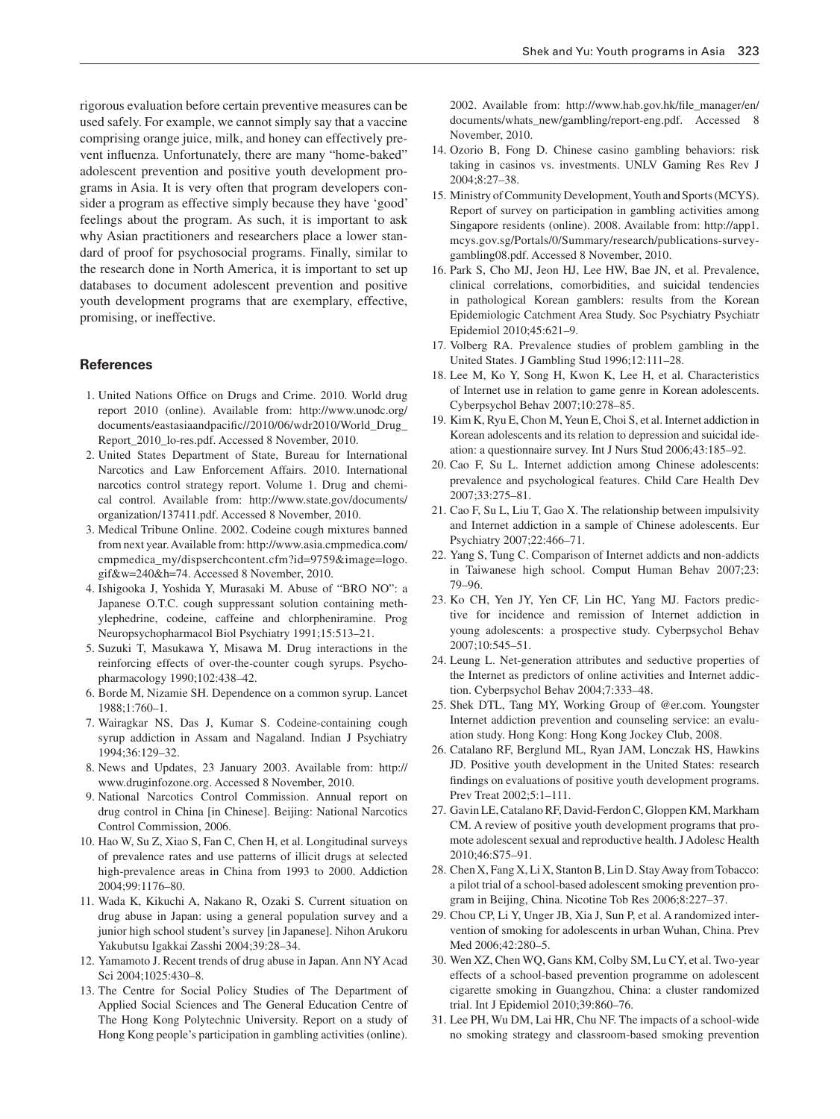rigorous evaluation before certain preventive measures can be used safely. For example, we cannot simply say that a vaccine comprising orange juice, milk, and honey can effectively prevent influenza. Unfortunately, there are many "home-baked" adolescent prevention and positive youth development programs in Asia. It is very often that program developers consider a program as effective simply because they have 'good' feelings about the program. As such, it is important to ask why Asian practitioners and researchers place a lower standard of proof for psychosocial programs. Finally, similar to the research done in North America, it is important to set up databases to document adolescent prevention and positive youth development programs that are exemplary, effective, promising, or ineffective.

## **References**

- 1. United Nations Office on Drugs and Crime. 2010. World drug report 2010 (online). Available from: http://www.unodc.org/ documents/eastasiaandpacific//2010/06/wdr2010/World\_Drug Report 2010 lo-res.pdf. Accessed 8 November, 2010.
- 2. United States Department of State, Bureau for International Narcotics and Law Enforcement Affairs. 2010. International narcotics control strategy report. Volume 1. Drug and chemical control. Available from: http://www.state.gov/documents/ organization/137411.pdf. Accessed 8 November, 2010.
- 3. Medical Tribune Online. 2002. Codeine cough mixtures banned from next year. Available from: http://www.asia.cmpmedica.com/ cmpmedica\_my/dispserchcontent.cfm?id=9759&image=logo. gif & w =  $240$  & h = 74. Accessed 8 November, 2010.
- 4. Ishigooka J, Yoshida Y, Murasaki M. Abuse of "BRO NO": a Japanese O.T.C. cough suppressant solution containing methylephedrine, codeine, caffeine and chlorpheniramine. Prog Neuropsychopharmacol Biol Psychiatry 1991;15:513-21.
- 5. Suzuki T, Masukawa Y, Misawa M. Drug interactions in the reinforcing effects of over-the-counter cough syrups. Psychopharmacology 1990;102:438-42.
- 6. Borde M, Nizamie SH. Dependence on a common syrup. Lancet 1988;1:760-1.
- 7. Wairagkar NS, Das J, Kumar S. Codeine-containing cough syrup addiction in Assam and Nagaland. Indian J Psychiatry 1994;36:129-32.
- 8. News and Updates, 23 January 2003. Available from: http:// www.druginfozone.org. Accessed 8 November, 2010.
- 9. National Narcotics Control Commission. Annual report on drug control in China [in Chinese]. Beijing: National Narcotics Control Commission, 2006.
- 10. Hao W, Su Z, Xiao S, Fan C, Chen H, et al. Longitudinal surveys of prevalence rates and use patterns of illicit drugs at selected high-prevalence areas in China from 1993 to 2000. Addiction 2004;99:1176-80.
- 11. Wada K, Kikuchi A, Nakano R, Ozaki S. Current situation on drug abuse in Japan: using a general population survey and a junior high school student's survey [in Japanese]. Nihon Arukoru Yakubutsu Igakkai Zasshi 2004;39:28-34.
- 12. Yamamoto J. Recent trends of drug abuse in Japan. Ann NY Acad Sci 2004;1025:430-8.
- 13. The Centre for Social Policy Studies of The Department of Applied Social Sciences and The General Education Centre of The Hong Kong Polytechnic University. Report on a study of Hong Kong people's participation in gambling activities (online).

2002. Available from: http://www.hab.gov.hk/file\_manager/en/ documents/whats\_new/gambling/report-eng.pdf. Accessed 8 November, 2010.

- 14. Ozorio B, Fong D. Chinese casino gambling behaviors: risk taking in casinos vs. investments. UNLV Gaming Res Rev J 2004;8:27 – 38.
- 15. Ministry of Community Development, Youth and Sports (MCYS). Report of survey on participation in gambling activities among Singapore residents (online). 2008. Available from: http://app1. mcys.gov.sg/Portals/0/Summary/research/publications-surveygambling08.pdf. Accessed 8 November, 2010.
- 16. Park S, Cho MJ, Jeon HJ, Lee HW, Bae JN, et al. Prevalence, clinical correlations, comorbidities, and suicidal tendencies in pathological Korean gamblers: results from the Korean Epidemiologic Catchment Area Study. Soc Psychiatry Psychiatr Epidemiol 2010;45:621-9.
- 17. Volberg RA. Prevalence studies of problem gambling in the United States. J Gambling Stud 1996;12:111-28.
- 18. Lee M, Ko Y, Song H, Kwon K, Lee H, et al. Characteristics of Internet use in relation to game genre in Korean adolescents. Cyberpsychol Behav 2007;10:278-85.
- 19. Kim K, Ryu E, Chon M, Yeun E, Choi S, et al. Internet addiction in Korean adolescents and its relation to depression and suicidal ideation: a questionnaire survey. Int J Nurs Stud 2006;43:185-92.
- 20. Cao F, Su L. Internet addiction among Chinese adolescents: prevalence and psychological features. Child Care Health Dev 2007;33:275 – 81.
- 21. Cao F, Su L, Liu T, Gao X. The relationship between impulsivity and Internet addiction in a sample of Chinese adolescents. Eur Psychiatry 2007;22:466-71.
- 22. Yang S, Tung C. Comparison of Internet addicts and non-addicts in Taiwanese high school. Comput Human Behav 2007;23: 79 – 96.
- 23. Ko CH, Yen JY, Yen CF, Lin HC, Yang MJ. Factors predictive for incidence and remission of Internet addiction in young adolescents: a prospective study. Cyberpsychol Behav 2007;10:545-51.
- 24. Leung L. Net-generation attributes and seductive properties of the Internet as predictors of online activities and Internet addiction. Cyberpsychol Behav 2004;7:333-48.
- 25. Shek DTL, Tang MY, Working Group of @er.com. Youngster Internet addiction prevention and counseling service: an evaluation study. Hong Kong: Hong Kong Jockey Club, 2008.
- 26. Catalano RF, Berglund ML, Ryan JAM, Lonczak HS, Hawkins JD. Positive youth development in the United States: research findings on evaluations of positive youth development programs. Prev Treat 2002;5:1-111.
- 27. Gavin LE, Catalano RF, David-Ferdon C, Gloppen KM, Markham CM. A review of positive youth development programs that promote adolescent sexual and reproductive health. J Adolesc Health 2010;46:S75–91.
- 28. Chen X, Fang X, Li X, Stanton B, Lin D. Stay Away from Tobacco: a pilot trial of a school-based adolescent smoking prevention program in Beijing, China. Nicotine Tob Res 2006;8:227-37.
- 29. Chou CP, Li Y, Unger JB, Xia J, Sun P, et al. A randomized intervention of smoking for adolescents in urban Wuhan, China. Prev Med 2006;42:280-5.
- 30. Wen XZ, Chen WQ, Gans KM, Colby SM, Lu CY, et al. Two-year effects of a school-based prevention programme on adolescent cigarette smoking in Guangzhou, China: a cluster randomized trial. Int J Epidemiol 2010;39:860-76.
- 31. Lee PH, Wu DM, Lai HR, Chu NF. The impacts of a school-wide no smoking strategy and classroom-based smoking prevention